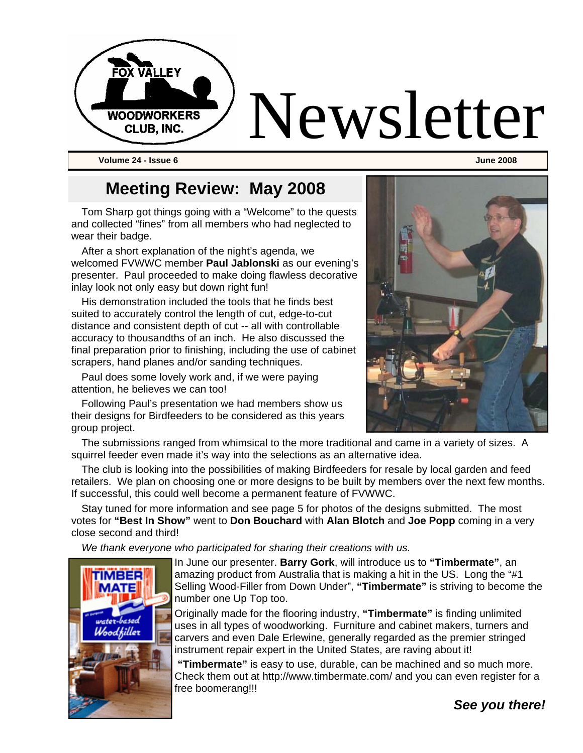

**Volume 24 - Issue 6 June 2008** 

#### **Meeting Review: May 2008**

Tom Sharp got things going with a "Welcome" to the quests and collected "fines" from all members who had neglected to wear their badge.

After a short explanation of the night's agenda, we welcomed FVWWC member **Paul Jablonski** as our evening's presenter. Paul proceeded to make doing flawless decorative inlay look not only easy but down right fun!

His demonstration included the tools that he finds best suited to accurately control the length of cut, edge-to-cut distance and consistent depth of cut -- all with controllable accuracy to thousandths of an inch. He also discussed the final preparation prior to finishing, including the use of cabinet scrapers, hand planes and/or sanding techniques.

Paul does some lovely work and, if we were paying attention, he believes we can too!

Following Paul's presentation we had members show us their designs for Birdfeeders to be considered as this years group project.



The submissions ranged from whimsical to the more traditional and came in a variety of sizes. A squirrel feeder even made it's way into the selections as an alternative idea.

The club is looking into the possibilities of making Birdfeeders for resale by local garden and feed retailers. We plan on choosing one or more designs to be built by members over the next few months. If successful, this could well become a permanent feature of FVWWC.

Stay tuned for more information and see page 5 for photos of the designs submitted. The most votes for **"Best In Show"** went to **Don Bouchard** with **Alan Blotch** and **Joe Popp** coming in a very close second and third!

*We thank everyone who participated for sharing their creations with us.* 



In June our presenter. **Barry Gork**, will introduce us to **"Timbermate"**, an amazing product from Australia that is making a hit in the US. Long the "#1 Selling Wood-Filler from Down Under", **"Timbermate"** is striving to become the number one Up Top too.

Originally made for the flooring industry, **"Timbermate"** is finding unlimited uses in all types of woodworking. Furniture and cabinet makers, turners and carvers and even Dale Erlewine, generally regarded as the premier stringed instrument repair expert in the United States, are raving about it!

**"Timbermate"** is easy to use, durable, can be machined and so much more. Check them out at http://www.timbermate.com/ and you can even register for a free boomerang!!!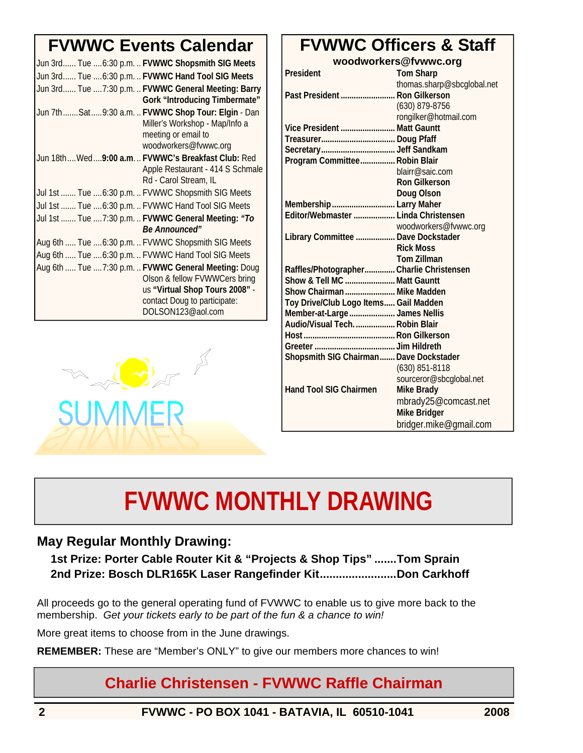## **FVWWC Events Calendar**

| Jun 3rd Tue 6:30 p.m.  FVWWC Shopsmith SIG Meets                                                                                                                             |
|------------------------------------------------------------------------------------------------------------------------------------------------------------------------------|
| Jun 3rd Tue  6:30 p.m.  FVWWC Hand Tool SIG Meets                                                                                                                            |
| Jun 3rd Tue 7:30 p.m.  FVWWC General Meeting: Barry<br><b>Gork "Introducing Timbermate"</b>                                                                                  |
| Jun 7thSat9:30 a.m.  FVWWC Shop Tour: Elgin - Dan<br>Miller's Workshop - Map/Info a<br>meeting or email to<br>woodworkers@fvwwc.org                                          |
| Jun 18thWed9:00 a.m FVWWC's Breakfast Club: Red<br>Apple Restaurant - 414 S Schmale<br>Rd - Carol Stream, IL                                                                 |
| Jul 1st  Tue 6:30 p.m.  FVWWC Shopsmith SIG Meets                                                                                                                            |
| Jul 1st  Tue 6:30 p.m.  FVWWC Hand Tool SIG Meets                                                                                                                            |
| Jul 1st  Tue 7:30 p.m.  FVWWC General Meeting: "To<br><b>Be Announced"</b>                                                                                                   |
| Aug 6th  Tue 6:30 p.m.  FVWWC Shopsmith SIG Meets                                                                                                                            |
| Aug 6th  Tue 6:30 p.m.  FVWWC Hand Tool SIG Meets                                                                                                                            |
| Aug 6th  Tue  7:30 p.m.  FVWWC General Meeting: Doug<br>Olson & fellow FVWWCers bring<br>us "Virtual Shop Tours 2008" -<br>contact Doug to participate:<br>DOLSON123@aol.com |



**FVWWC Officers & Staff woodworkers@fvwwc.org President Tom Sharp**  thomas.sharp@sbcglobal.net **Past President ......................... Ron Gilkerson**  (630) 879-8756 rongilker@hotmail.com **Vice President ......................... Matt Gauntt Treasurer.................................. Doug Pfaff Secretary.................................. Jeff Sandkam Program Committee................ Robin Blair**  blairr@saic.com **Ron Gilkerson Doug Olson Membership............................. Larry Maher Editor/Webmaster ................... Linda Christensen**  woodworkers@fvwwc.org **Library Committee .................. Dave Dockstader Rick Moss Tom Zillman Raffles/Photographer.............. Charlie Christensen Show & Tell MC ....................... Matt Gauntt Show Chairman ....................... Mike Madden Toy Drive/Club Logo Items..... Gail Madden Member-at-Large..................... James Nellis Audio/Visual Tech................... Robin Blair Host .......................................... Ron Gilkerson Greeter ..................................... Jim Hildreth Shopsmith SIG Chairman....... Dave Dockstader** 

(630) 851-8118

 **Mike Bridger** 

**Hand Tool SIG Chairmen Mike Brady** 

sourceror@sbcglobal.net

mbrady25@comcast.net

bridger.mike@gmail.com

# **FVWWC MONTHLY DRAWING**

#### **May Regular Monthly Drawing:**

**1st Prize: Porter Cable Router Kit & "Projects & Shop Tips" .......Tom Sprain 2nd Prize: Bosch DLR165K Laser Rangefinder Kit........................Don Carkhoff** 

All proceeds go to the general operating fund of FVWWC to enable us to give more back to the membership. *Get your tickets early to be part of the fun & a chance to win!* 

More great items to choose from in the June drawings.

**REMEMBER:** These are "Member's ONLY" to give our members more chances to win!

#### **Charlie Christensen - FVWWC Raffle Chairman**

**2 FVWWC - PO BOX 1041 - BATAVIA, IL 60510-1041 2008**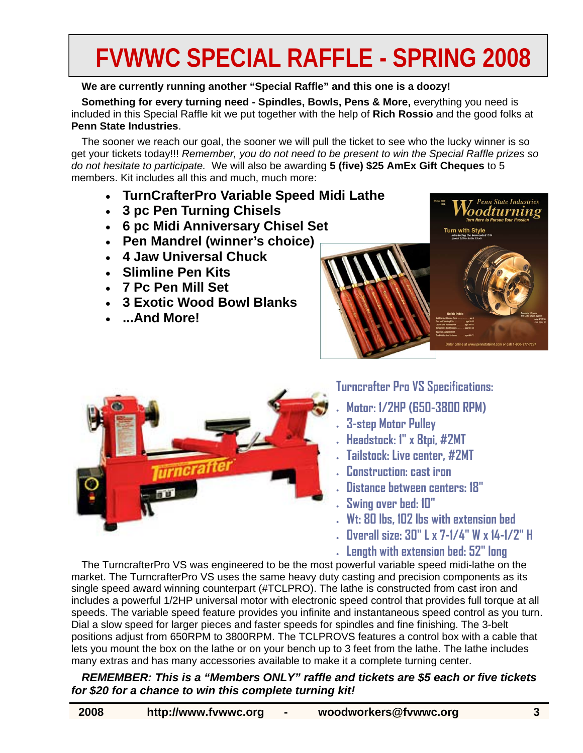# **FVWWC SPECIAL RAFFLE - SPRING 2008**

**We are currently running another "Special Raffle" and this one is a doozy!** 

**Something for every turning need - Spindles, Bowls, Pens & More,** everything you need is included in this Special Raffle kit we put together with the help of **Rich Rossio** and the good folks at **Penn State Industries**.

The sooner we reach our goal, the sooner we will pull the ticket to see who the lucky winner is so get your tickets today!!! *Remember, you do not need to be present to win the Special Raffle prizes so do not hesitate to participate.* We will also be awarding **5 (five) \$25 AmEx Gift Cheques** to 5 members. Kit includes all this and much, much more:

- **TurnCrafterPro Variable Speed Midi Lathe**
- **3 pc Pen Turning Chisels**
- **6 pc Midi Anniversary Chisel Set**
- **Pen Mandrel (winner's choice)**
- **4 Jaw Universal Chuck**
- **Slimline Pen Kits**
- **7 Pc Pen Mill Set**
- **3 Exotic Wood Bowl Blanks**
- **...And More!**





**Turncrafter Pro VS Specifications:** 

- **Motor: 1/2HP (650-3800 RPM)**
- **3-step Motor Pulley**
- **Headstock: 1" x 8tpi, #2MT**
- **Tailstock: Live center, #2MT**
- **Construction: cast iron**
- **Distance between centers: 18"**
- **Swing over bed: 10"**
- **Wt: 80 lbs, 102 lbs with extension bed**
- **Overall size: 30" L x 7-1/4" W x 14-1/2" H**

• **Length with extension bed: 52" long** 

The TurncrafterPro VS was engineered to be the most powerful variable speed midi-lathe on the market. The TurncrafterPro VS uses the same heavy duty casting and precision components as its single speed award winning counterpart (#TCLPRO). The lathe is constructed from cast iron and includes a powerful 1/2HP universal motor with electronic speed control that provides full torque at all speeds. The variable speed feature provides you infinite and instantaneous speed control as you turn. Dial a slow speed for larger pieces and faster speeds for spindles and fine finishing. The 3-belt positions adjust from 650RPM to 3800RPM. The TCLPROVS features a control box with a cable that lets you mount the box on the lathe or on your bench up to 3 feet from the lathe. The lathe includes many extras and has many accessories available to make it a complete turning center.

*REMEMBER: This is a "Members ONLY" raffle and tickets are \$5 each or five tickets for \$20 for a chance to win this complete turning kit!*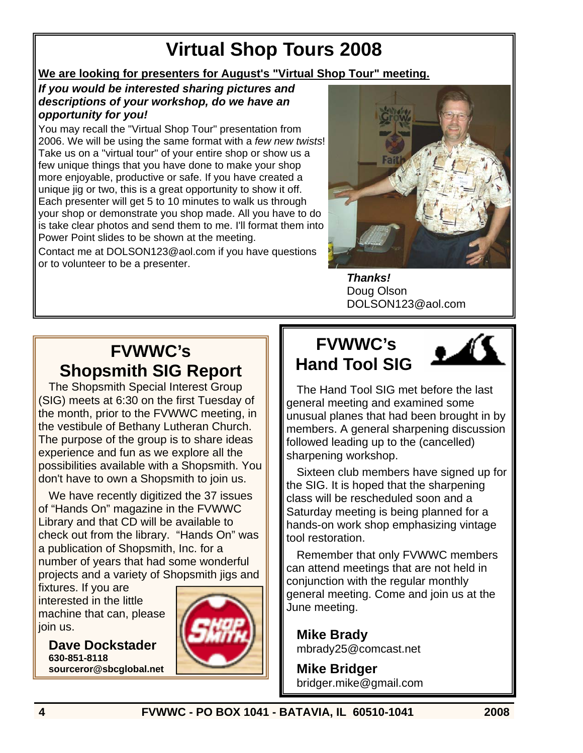## **Virtual Shop Tours 2008**

#### **We are looking for presenters for August's "Virtual Shop Tour" meeting.**

#### *If you would be interested sharing pictures and descriptions of your workshop, do we have an opportunity for you!*

You may recall the "Virtual Shop Tour" presentation from 2006. We will be using the same format with a *few new twists*! Take us on a "virtual tour" of your entire shop or show us a few unique things that you have done to make your shop more enjoyable, productive or safe. If you have created a unique jig or two, this is a great opportunity to show it off. Each presenter will get 5 to 10 minutes to walk us through your shop or demonstrate you shop made. All you have to do is take clear photos and send them to me. I'll format them into Power Point slides to be shown at the meeting.

Contact me at DOLSON123@aol.com if you have questions or to volunteer to be a presenter.



*Thanks!* Doug Olson DOLSON123@aol.com

## **FVWWC's Shopsmith SIG Report**

The Shopsmith Special Interest Group (SIG) meets at 6:30 on the first Tuesday of the month, prior to the FVWWC meeting, in the vestibule of Bethany Lutheran Church. The purpose of the group is to share ideas experience and fun as we explore all the possibilities available with a Shopsmith. You don't have to own a Shopsmith to join us.

We have recently digitized the 37 issues of "Hands On" magazine in the FVWWC Library and that CD will be available to check out from the library. "Hands On" was a publication of Shopsmith, Inc. for a number of years that had some wonderful projects and a variety of Shopsmith jigs and

fixtures. If you are interested in the little machine that can, please join us.

**Dave Dockstader 630-851-8118 sourceror@sbcglobal.net**



## **FVWWC's Hand Tool SIG**



The Hand Tool SIG met before the last general meeting and examined some unusual planes that had been brought in by members. A general sharpening discussion followed leading up to the (cancelled) sharpening workshop.

Sixteen club members have signed up for the SIG. It is hoped that the sharpening class will be rescheduled soon and a Saturday meeting is being planned for a hands-on work shop emphasizing vintage tool restoration.

Remember that only FVWWC members can attend meetings that are not held in conjunction with the regular monthly general meeting. Come and join us at the June meeting.

**Mike Brady**  mbrady25@comcast.net

**Mike Bridger**  bridger.mike@gmail.com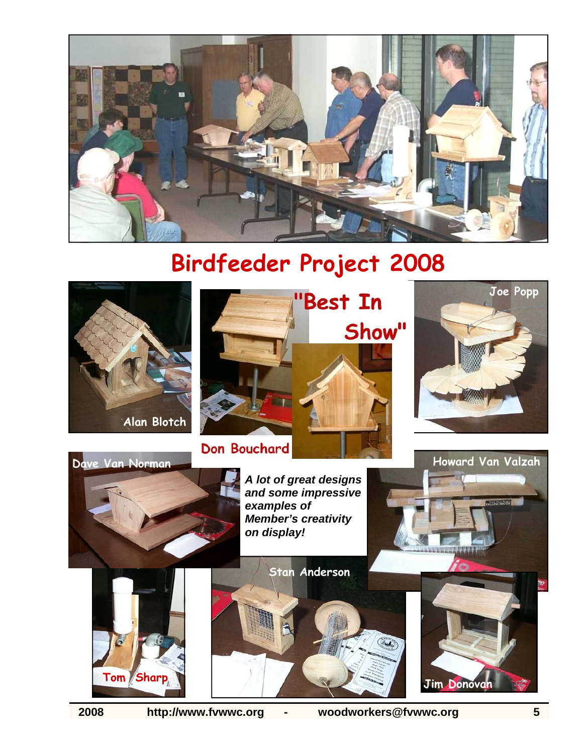

## **Birdfeeder Project 2008**



**2008 http://www.fvwwc.org - woodworkers@fvwwc.org 5**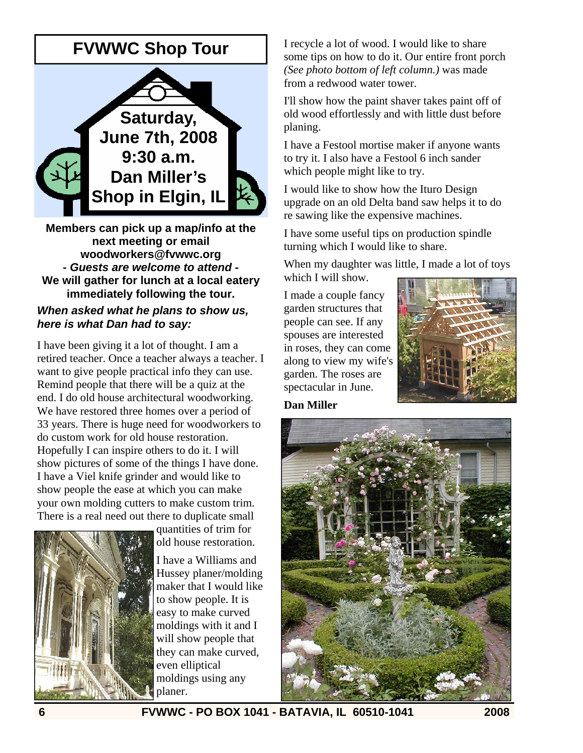#### **FVWWC Shop Tour**



**Members can pick up a map/info at the next meeting or email woodworkers@fvwwc.org -** *Guests are welcome to attend -* **We will gather for lunch at a local eatery immediately following the tour.**  *When asked what he plans to show us, here is what Dan had to say:* 

I have been giving it a lot of thought. I am a retired teacher. Once a teacher always a teacher. I want to give people practical info they can use. Remind people that there will be a quiz at the end. I do old house architectural woodworking. We have restored three homes over a period of 33 years. There is huge need for woodworkers to do custom work for old house restoration. Hopefully I can inspire others to do it. I will show pictures of some of the things I have done. I have a Viel knife grinder and would like to show people the ease at which you can make your own molding cutters to make custom trim. There is a real need out there to duplicate small



quantities of trim for old house restoration.

I have a Williams and Hussey planer/molding maker that I would like to show people. It is easy to make curved moldings with it and I will show people that they can make curved, even elliptical moldings using any planer.

I recycle a lot of wood. I would like to share some tips on how to do it. Our entire front porch *(See photo bottom of left column.)* was made from a redwood water tower.

I'll show how the paint shaver takes paint off of old wood effortlessly and with little dust before planing.

I have a Festool mortise maker if anyone wants to try it. I also have a Festool 6 inch sander which people might like to try.

I would like to show how the Ituro Design upgrade on an old Delta band saw helps it to do re sawing like the expensive machines.

I have some useful tips on production spindle turning which I would like to share.

When my daughter was little, I made a lot of toys which I will show.

I made a couple fancy garden structures that people can see. If any spouses are interested in roses, they can come along to view my wife's garden. The roses are spectacular in June.



**Dan Miller**



**6 FVWWC - PO BOX 1041 - BATAVIA, IL 60510-1041 2008**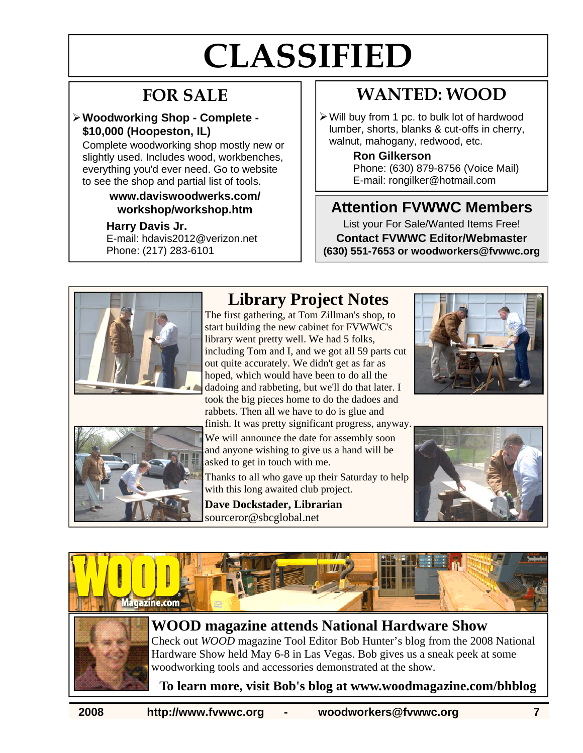# **CLASSIFIED**

### **FOR SALE**

#### ¾ **Woodworking Shop - Complete - \$10,000 (Hoopeston, IL)**

Complete woodworking shop mostly new or slightly used. Includes wood, workbenches, everything you'd ever need. Go to website to see the shop and partial list of tools.

#### **www.daviswoodwerks.com/ workshop/workshop.htm**

#### **Harry Davis Jr.**

E-mail: hdavis2012@verizon.net Phone: (217) 283-6101

## **WANTED: WOOD**

¾ Will buy from 1 pc. to bulk lot of hardwood lumber, shorts, blanks & cut-offs in cherry, walnut, mahogany, redwood, etc.

#### **Ron Gilkerson** Phone: (630) 879-8756 (Voice Mail)

E-mail: rongilker@hotmail.com

#### **Attention FVWWC Members**

List your For Sale/Wanted Items Free! **Contact FVWWC Editor/Webmaster (630) 551-7653 or woodworkers@fvwwc.org** 





## **Library Project Notes**

The first gathering, at Tom Zillman's shop, to start building the new cabinet for FVWWC's library went pretty well. We had 5 folks, including Tom and I, and we got all 59 parts cut out quite accurately. We didn't get as far as hoped, which would have been to do all the dadoing and rabbeting, but we'll do that later. I took the big pieces home to do the dadoes and rabbets. Then all we have to do is glue and finish. It was pretty significant progress, anyway. We will announce the date for assembly soon and anyone wishing to give us a hand will be

asked to get in touch with me. Thanks to all who gave up their Saturday to help with this long awaited club project.

**Dave Dockstader, Librarian** sourceror@sbcglobal.net









**WOOD magazine attends National Hardware Show** Check out *WOOD* magazine Tool Editor Bob Hunter's blog from the 2008 National Hardware Show held May 6-8 in Las Vegas. Bob gives us a sneak peek at some woodworking tools and accessories demonstrated at the show.

**To learn more, visit Bob's blog at www.woodmagazine.com/bhblog**